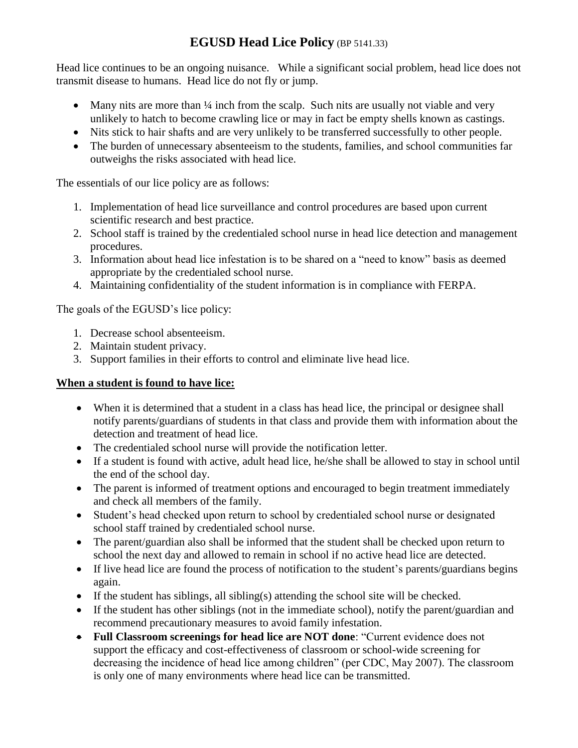# **EGUSD Head Lice Policy** (BP 5141.33)

Head lice continues to be an ongoing nuisance. While a significant social problem, head lice does not transmit disease to humans. Head lice do not fly or jump.

- Many nits are more than  $\frac{1}{4}$  inch from the scalp. Such nits are usually not viable and very unlikely to hatch to become crawling lice or may in fact be empty shells known as castings.
- Nits stick to hair shafts and are very unlikely to be transferred successfully to other people.
- The burden of unnecessary absenteeism to the students, families, and school communities far outweighs the risks associated with head lice.

The essentials of our lice policy are as follows:

- 1. Implementation of head lice surveillance and control procedures are based upon current scientific research and best practice.
- 2. School staff is trained by the credentialed school nurse in head lice detection and management procedures.
- 3. Information about head lice infestation is to be shared on a "need to know" basis as deemed appropriate by the credentialed school nurse.
- 4. Maintaining confidentiality of the student information is in compliance with FERPA.

The goals of the EGUSD's lice policy:

- 1. Decrease school absenteeism.
- 2. Maintain student privacy.
- 3. Support families in their efforts to control and eliminate live head lice.

## **When a student is found to have lice:**

- When it is determined that a student in a class has head lice, the principal or designee shall notify parents/guardians of students in that class and provide them with information about the detection and treatment of head lice.
- The credentialed school nurse will provide the notification letter.
- If a student is found with active, adult head lice, he/she shall be allowed to stay in school until the end of the school day.
- The parent is informed of treatment options and encouraged to begin treatment immediately and check all members of the family.
- Student's head checked upon return to school by credentialed school nurse or designated school staff trained by credentialed school nurse.
- The parent/guardian also shall be informed that the student shall be checked upon return to school the next day and allowed to remain in school if no active head lice are detected.
- If live head lice are found the process of notification to the student's parents/guardians begins again.
- If the student has siblings, all sibling(s) attending the school site will be checked.
- If the student has other siblings (not in the immediate school), notify the parent/guardian and recommend precautionary measures to avoid family infestation.
- **Full Classroom screenings for head lice are NOT done**: "Current evidence does not support the efficacy and cost-effectiveness of classroom or school-wide screening for decreasing the incidence of head lice among children" (per CDC, May 2007). The classroom is only one of many environments where head lice can be transmitted.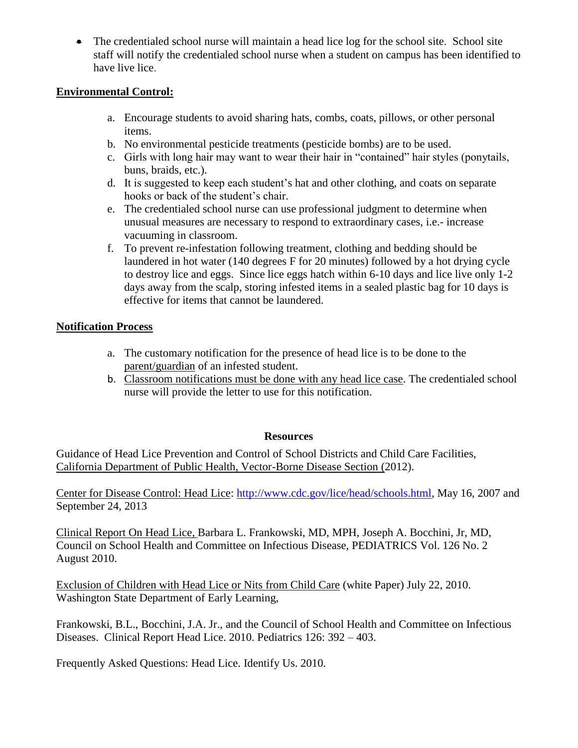• The credentialed school nurse will maintain a head lice log for the school site. School site staff will notify the credentialed school nurse when a student on campus has been identified to have live lice.

## **Environmental Control:**

- a. Encourage students to avoid sharing hats, combs, coats, pillows, or other personal items.
- b. No environmental pesticide treatments (pesticide bombs) are to be used.
- c. Girls with long hair may want to wear their hair in "contained" hair styles (ponytails, buns, braids, etc.).
- d. It is suggested to keep each student's hat and other clothing, and coats on separate hooks or back of the student's chair.
- e. The credentialed school nurse can use professional judgment to determine when unusual measures are necessary to respond to extraordinary cases, i.e.- increase vacuuming in classroom.
- f. To prevent re-infestation following treatment, clothing and bedding should be laundered in hot water (140 degrees F for 20 minutes) followed by a hot drying cycle to destroy lice and eggs. Since lice eggs hatch within 6-10 days and lice live only 1-2 days away from the scalp, storing infested items in a sealed plastic bag for 10 days is effective for items that cannot be laundered.

# **Notification Process**

- a. The customary notification for the presence of head lice is to be done to the parent/guardian of an infested student.
- b. Classroom notifications must be done with any head lice case. The credentialed school nurse will provide the letter to use for this notification.

## **Resources**

Guidance of Head Lice Prevention and Control of School Districts and Child Care Facilities, California Department of Public Health, Vector-Borne Disease Section (2012).

Center for Disease Control: Head Lice: [http://www.cdc.gov/lice/head/schools.html,](http://www.cdc.gov/lice/head/schools.html) May 16, 2007 and September 24, 2013

Clinical Report On Head Lice, Barbara L. Frankowski, MD, MPH, Joseph A. Bocchini, Jr, MD, Council on School Health and Committee on Infectious Disease, PEDIATRICS Vol. 126 No. 2 August 2010.

Exclusion of Children with Head Lice or Nits from Child Care (white Paper) July 22, 2010. Washington State Department of Early Learning,

Frankowski, B.L., Bocchini, J.A. Jr., and the Council of School Health and Committee on Infectious Diseases. Clinical Report Head Lice. 2010. Pediatrics 126: 392 – 403.

Frequently Asked Questions: Head Lice. Identify Us. 2010.